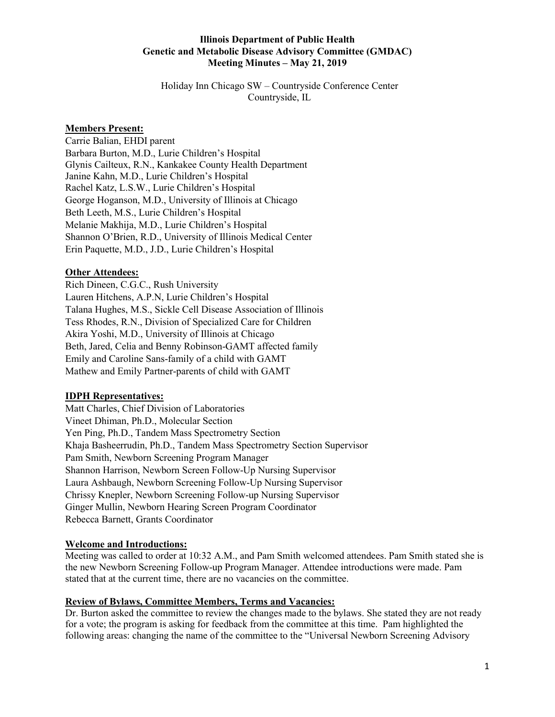Holiday Inn Chicago SW – Countryside Conference Center Countryside, IL

## **Members Present:**

Carrie Balian, EHDI parent Barbara Burton, M.D., Lurie Children's Hospital Glynis Cailteux, R.N., Kankakee County Health Department Janine Kahn, M.D., Lurie Children's Hospital Rachel Katz, L.S.W., Lurie Children's Hospital George Hoganson, M.D., University of Illinois at Chicago Beth Leeth, M.S., Lurie Children's Hospital Melanie Makhija, M.D., Lurie Children's Hospital Shannon O'Brien, R.D., University of Illinois Medical Center Erin Paquette, M.D., J.D., Lurie Children's Hospital

#### **Other Attendees:**

Rich Dineen, C.G.C., Rush University Lauren Hitchens, A.P.N, Lurie Children's Hospital Talana Hughes, M.S., Sickle Cell Disease Association of Illinois Tess Rhodes, R.N., Division of Specialized Care for Children Akira Yoshi, M.D., University of Illinois at Chicago Beth, Jared, Celia and Benny Robinson-GAMT affected family Emily and Caroline Sans-family of a child with GAMT Mathew and Emily Partner-parents of child with GAMT

#### **IDPH Representatives:**

Matt Charles, Chief Division of Laboratories Vineet Dhiman, Ph.D., Molecular Section Yen Ping, Ph.D., Tandem Mass Spectrometry Section Khaja Basheerrudin, Ph.D., Tandem Mass Spectrometry Section Supervisor Pam Smith, Newborn Screening Program Manager Shannon Harrison, Newborn Screen Follow-Up Nursing Supervisor Laura Ashbaugh, Newborn Screening Follow-Up Nursing Supervisor Chrissy Knepler, Newborn Screening Follow-up Nursing Supervisor Ginger Mullin, Newborn Hearing Screen Program Coordinator Rebecca Barnett, Grants Coordinator

#### **Welcome and Introductions:**

Meeting was called to order at 10:32 A.M., and Pam Smith welcomed attendees. Pam Smith stated she is the new Newborn Screening Follow-up Program Manager. Attendee introductions were made. Pam stated that at the current time, there are no vacancies on the committee.

## **Review of Bylaws, Committee Members, Terms and Vacancies:**

Dr. Burton asked the committee to review the changes made to the bylaws. She stated they are not ready for a vote; the program is asking for feedback from the committee at this time. Pam highlighted the following areas: changing the name of the committee to the "Universal Newborn Screening Advisory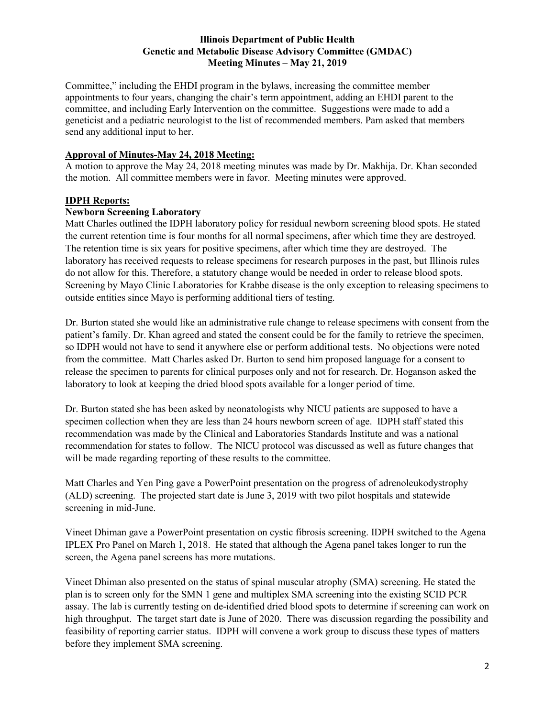Committee," including the EHDI program in the bylaws, increasing the committee member appointments to four years, changing the chair's term appointment, adding an EHDI parent to the committee, and including Early Intervention on the committee. Suggestions were made to add a geneticist and a pediatric neurologist to the list of recommended members. Pam asked that members send any additional input to her.

#### **Approval of Minutes-May 24, 2018 Meeting:**

A motion to approve the May 24, 2018 meeting minutes was made by Dr. Makhija. Dr. Khan seconded the motion. All committee members were in favor. Meeting minutes were approved.

#### **IDPH Reports:**

#### **Newborn Screening Laboratory**

Matt Charles outlined the IDPH laboratory policy for residual newborn screening blood spots. He stated the current retention time is four months for all normal specimens, after which time they are destroyed. The retention time is six years for positive specimens, after which time they are destroyed. The laboratory has received requests to release specimens for research purposes in the past, but Illinois rules do not allow for this. Therefore, a statutory change would be needed in order to release blood spots. Screening by Mayo Clinic Laboratories for Krabbe disease is the only exception to releasing specimens to outside entities since Mayo is performing additional tiers of testing.

Dr. Burton stated she would like an administrative rule change to release specimens with consent from the patient's family. Dr. Khan agreed and stated the consent could be for the family to retrieve the specimen, so IDPH would not have to send it anywhere else or perform additional tests. No objections were noted from the committee. Matt Charles asked Dr. Burton to send him proposed language for a consent to release the specimen to parents for clinical purposes only and not for research. Dr. Hoganson asked the laboratory to look at keeping the dried blood spots available for a longer period of time.

Dr. Burton stated she has been asked by neonatologists why NICU patients are supposed to have a specimen collection when they are less than 24 hours newborn screen of age. IDPH staff stated this recommendation was made by the Clinical and Laboratories Standards Institute and was a national recommendation for states to follow. The NICU protocol was discussed as well as future changes that will be made regarding reporting of these results to the committee.

Matt Charles and Yen Ping gave a PowerPoint presentation on the progress of adrenoleukodystrophy (ALD) screening. The projected start date is June 3, 2019 with two pilot hospitals and statewide screening in mid-June.

Vineet Dhiman gave a PowerPoint presentation on cystic fibrosis screening. IDPH switched to the Agena IPLEX Pro Panel on March 1, 2018. He stated that although the Agena panel takes longer to run the screen, the Agena panel screens has more mutations.

Vineet Dhiman also presented on the status of spinal muscular atrophy (SMA) screening. He stated the plan is to screen only for the SMN 1 gene and multiplex SMA screening into the existing SCID PCR assay. The lab is currently testing on de-identified dried blood spots to determine if screening can work on high throughput. The target start date is June of 2020. There was discussion regarding the possibility and feasibility of reporting carrier status. IDPH will convene a work group to discuss these types of matters before they implement SMA screening.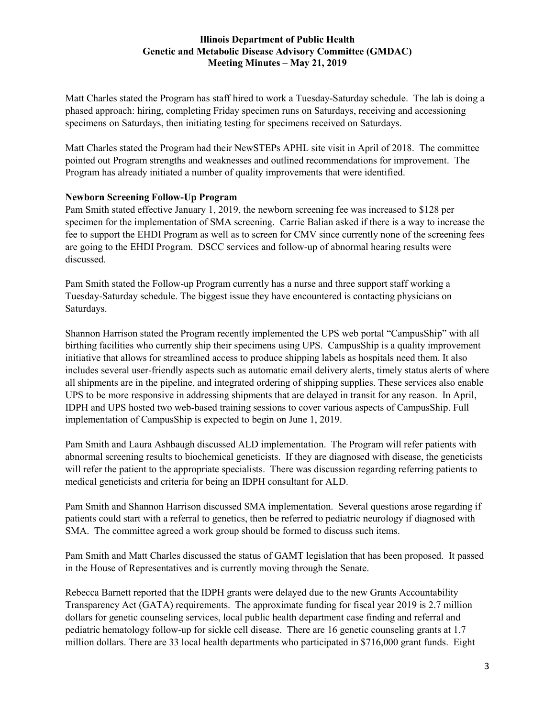Matt Charles stated the Program has staff hired to work a Tuesday-Saturday schedule. The lab is doing a phased approach: hiring, completing Friday specimen runs on Saturdays, receiving and accessioning specimens on Saturdays, then initiating testing for specimens received on Saturdays.

Matt Charles stated the Program had their NewSTEPs APHL site visit in April of 2018. The committee pointed out Program strengths and weaknesses and outlined recommendations for improvement. The Program has already initiated a number of quality improvements that were identified.

# **Newborn Screening Follow-Up Program**

Pam Smith stated effective January 1, 2019, the newborn screening fee was increased to \$128 per specimen for the implementation of SMA screening. Carrie Balian asked if there is a way to increase the fee to support the EHDI Program as well as to screen for CMV since currently none of the screening fees are going to the EHDI Program. DSCC services and follow-up of abnormal hearing results were discussed.

Pam Smith stated the Follow-up Program currently has a nurse and three support staff working a Tuesday-Saturday schedule. The biggest issue they have encountered is contacting physicians on Saturdays.

Shannon Harrison stated the Program recently implemented the UPS web portal "CampusShip" with all birthing facilities who currently ship their specimens using UPS. CampusShip is a quality improvement initiative that allows for streamlined access to produce shipping labels as hospitals need them. It also includes several user-friendly aspects such as automatic email delivery alerts, timely status alerts of where all shipments are in the pipeline, and integrated ordering of shipping supplies. These services also enable UPS to be more responsive in addressing shipments that are delayed in transit for any reason. In April, IDPH and UPS hosted two web-based training sessions to cover various aspects of CampusShip. Full implementation of CampusShip is expected to begin on June 1, 2019.

Pam Smith and Laura Ashbaugh discussed ALD implementation. The Program will refer patients with abnormal screening results to biochemical geneticists. If they are diagnosed with disease, the geneticists will refer the patient to the appropriate specialists. There was discussion regarding referring patients to medical geneticists and criteria for being an IDPH consultant for ALD.

Pam Smith and Shannon Harrison discussed SMA implementation. Several questions arose regarding if patients could start with a referral to genetics, then be referred to pediatric neurology if diagnosed with SMA. The committee agreed a work group should be formed to discuss such items.

Pam Smith and Matt Charles discussed the status of GAMT legislation that has been proposed. It passed in the House of Representatives and is currently moving through the Senate.

Rebecca Barnett reported that the IDPH grants were delayed due to the new Grants Accountability Transparency Act (GATA) requirements. The approximate funding for fiscal year 2019 is 2.7 million dollars for genetic counseling services, local public health department case finding and referral and pediatric hematology follow-up for sickle cell disease. There are 16 genetic counseling grants at 1.7 million dollars. There are 33 local health departments who participated in \$716,000 grant funds. Eight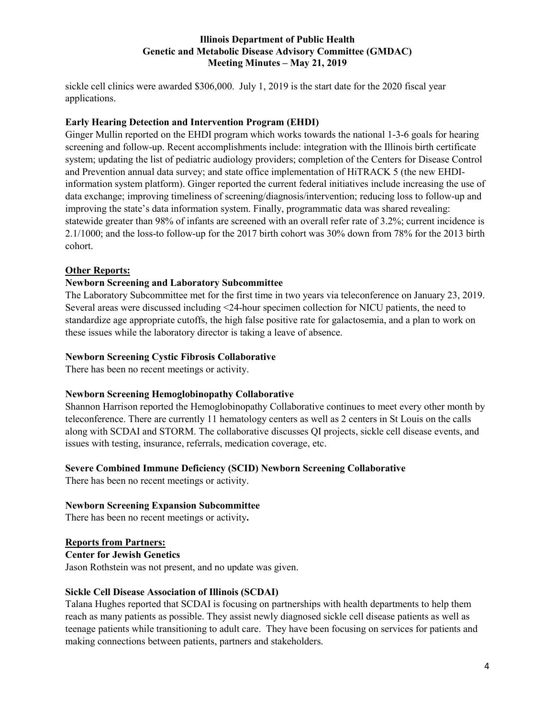sickle cell clinics were awarded \$306,000. July 1, 2019 is the start date for the 2020 fiscal year applications.

## **Early Hearing Detection and Intervention Program (EHDI)**

Ginger Mullin reported on the EHDI program which works towards the national 1-3-6 goals for hearing screening and follow-up. Recent accomplishments include: integration with the Illinois birth certificate system; updating the list of pediatric audiology providers; completion of the Centers for Disease Control and Prevention annual data survey; and state office implementation of HiTRACK 5 (the new EHDIinformation system platform). Ginger reported the current federal initiatives include increasing the use of data exchange; improving timeliness of screening/diagnosis/intervention; reducing loss to follow-up and improving the state's data information system. Finally, programmatic data was shared revealing: statewide greater than 98% of infants are screened with an overall refer rate of 3.2%; current incidence is 2.1/1000; and the loss-to follow-up for the 2017 birth cohort was 30% down from 78% for the 2013 birth cohort.

## **Other Reports:**

## **Newborn Screening and Laboratory Subcommittee**

The Laboratory Subcommittee met for the first time in two years via teleconference on January 23, 2019. Several areas were discussed including <24-hour specimen collection for NICU patients, the need to standardize age appropriate cutoffs, the high false positive rate for galactosemia, and a plan to work on these issues while the laboratory director is taking a leave of absence.

## **Newborn Screening Cystic Fibrosis Collaborative**

There has been no recent meetings or activity.

#### **Newborn Screening Hemoglobinopathy Collaborative**

Shannon Harrison reported the Hemoglobinopathy Collaborative continues to meet every other month by teleconference. There are currently 11 hematology centers as well as 2 centers in St Louis on the calls along with SCDAI and STORM. The collaborative discusses QI projects, sickle cell disease events, and issues with testing, insurance, referrals, medication coverage, etc.

# **Severe Combined Immune Deficiency (SCID) Newborn Screening Collaborative**

There has been no recent meetings or activity.

#### **Newborn Screening Expansion Subcommittee**

There has been no recent meetings or activity**.**

#### **Reports from Partners:**

**Center for Jewish Genetics** Jason Rothstein was not present, and no update was given.

#### **Sickle Cell Disease Association of Illinois (SCDAI)**

Talana Hughes reported that SCDAI is focusing on partnerships with health departments to help them reach as many patients as possible. They assist newly diagnosed sickle cell disease patients as well as teenage patients while transitioning to adult care. They have been focusing on services for patients and making connections between patients, partners and stakeholders.